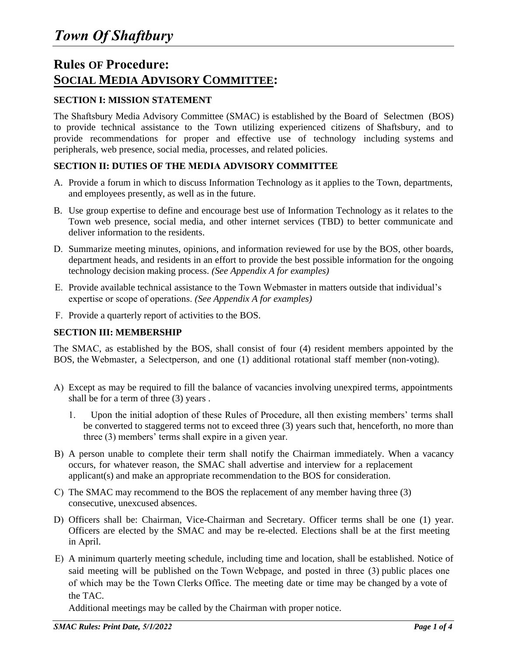# **Rules OF Procedure: SOCIAL MEDIA ADVISORY COMMITTEE:**

# **SECTION I: MISSION STATEMENT**

The Shaftsbury Media Advisory Committee (SMAC) is established by the Board of Selectmen (BOS) to provide technical assistance to the Town utilizing experienced citizens of Shaftsbury, and to provide recommendations for proper and effective use of technology including systems and peripherals, web presence, social media, processes, and related policies.

# **SECTION II: DUTIES OF THE MEDIA ADVISORY COMMITTEE**

- A. Provide a forum in which to discuss Information Technology as it applies to the Town, departments, and employees presently, as well as in the future.
- B. Use group expertise to define and encourage best use of Information Technology as it relates to the Town web presence, social media, and other internet services (TBD) to better communicate and deliver information to the residents.
- D. Summarize meeting minutes, opinions, and information reviewed for use by the BOS, other boards, department heads, and residents in an effort to provide the best possible information for the ongoing technology decision making process. *(See Appendix A for examples)*
- E. Provide available technical assistance to the Town Webmaster in matters outside that individual's expertise or scope of operations. *(See Appendix A for examples)*
- F. Provide a quarterly report of activities to the BOS.

# **SECTION III: MEMBERSHIP**

The SMAC, as established by the BOS, shall consist of four (4) resident members appointed by the BOS, the Webmaster, a Selectperson, and one (1) additional rotational staff member (non-voting).

- A) Except as may be required to fill the balance of vacancies involving unexpired terms, appointments shall be for a term of three (3) years .
	- 1. Upon the initial adoption of these Rules of Procedure, all then existing members' terms shall be converted to staggered terms not to exceed three (3) years such that, henceforth, no more than three (3) members' terms shall expire in a given year.
- B) A person unable to complete their term shall notify the Chairman immediately. When a vacancy occurs, for whatever reason, the SMAC shall advertise and interview for a replacement applicant(s) and make an appropriate recommendation to the BOS for consideration.
- C) The SMAC may recommend to the BOS the replacement of any member having three (3) consecutive, unexcused absences.
- D) Officers shall be: Chairman, Vice-Chairman and Secretary. Officer terms shall be one (1) year. Officers are elected by the SMAC and may be re-elected. Elections shall be at the first meeting in April.
- E) A minimum quarterly meeting schedule, including time and location, shall be established. Notice of said meeting will be published on the Town Webpage, and posted in three (3) public places one of which may be the Town Clerks Office. The meeting date or time may be changed by a vote of the TAC.

Additional meetings may be called by the Chairman with proper notice.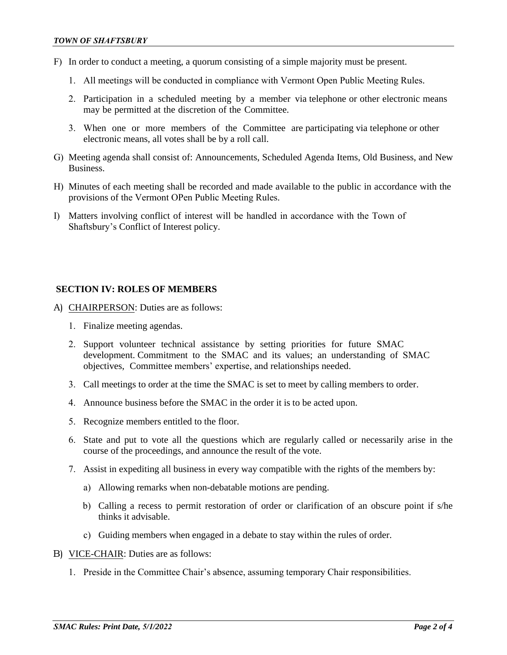- F) In order to conduct a meeting, a quorum consisting of a simple majority must be present.
	- 1. All meetings will be conducted in compliance with Vermont Open Public Meeting Rules.
	- 2. Participation in a scheduled meeting by a member via telephone or other electronic means may be permitted at the discretion of the Committee.
	- 3. When one or more members of the Committee are participating via telephone or other electronic means, all votes shall be by a roll call.
- G) Meeting agenda shall consist of: Announcements, Scheduled Agenda Items, Old Business, and New **Business**
- H) Minutes of each meeting shall be recorded and made available to the public in accordance with the provisions of the Vermont OPen Public Meeting Rules.
- I) Matters involving conflict of interest will be handled in accordance with the Town of Shaftsbury's Conflict of Interest policy.

## **SECTION IV: ROLES OF MEMBERS**

- A) CHAIRPERSON: Duties are as follows:
	- 1. Finalize meeting agendas.
	- 2. Support volunteer technical assistance by setting priorities for future SMAC development. Commitment to the SMAC and its values; an understanding of SMAC objectives, Committee members' expertise, and relationships needed.
	- 3. Call meetings to order at the time the SMAC is set to meet by calling members to order.
	- 4. Announce business before the SMAC in the order it is to be acted upon.
	- 5. Recognize members entitled to the floor.
	- 6. State and put to vote all the questions which are regularly called or necessarily arise in the course of the proceedings, and announce the result of the vote.
	- 7. Assist in expediting all business in every way compatible with the rights of the members by:
		- a) Allowing remarks when non-debatable motions are pending.
		- b) Calling a recess to permit restoration of order or clarification of an obscure point if s/he thinks it advisable.
		- c) Guiding members when engaged in a debate to stay within the rules of order.
- B) VICE-CHAIR: Duties are as follows:
	- 1. Preside in the Committee Chair's absence, assuming temporary Chair responsibilities.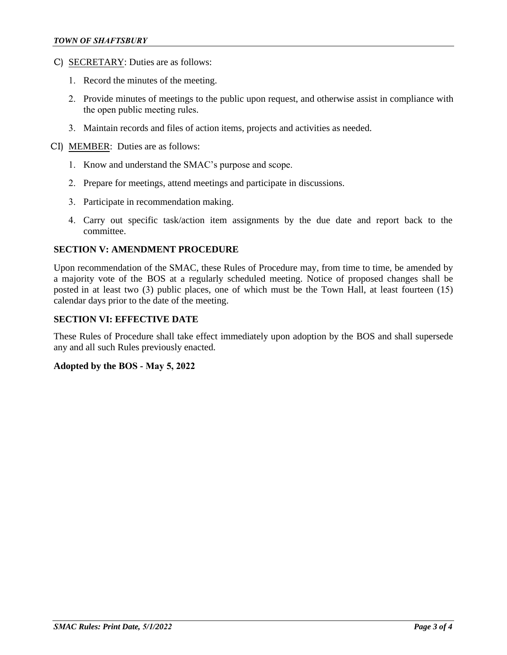- C) SECRETARY: Duties are as follows:
	- 1. Record the minutes of the meeting.
	- 2. Provide minutes of meetings to the public upon request, and otherwise assist in compliance with the open public meeting rules.
	- 3. Maintain records and files of action items, projects and activities as needed.
- CI) MEMBER: Duties are as follows:
	- 1. Know and understand the SMAC's purpose and scope.
	- 2. Prepare for meetings, attend meetings and participate in discussions.
	- 3. Participate in recommendation making.
	- 4. Carry out specific task/action item assignments by the due date and report back to the committee.

#### **SECTION V: AMENDMENT PROCEDURE**

Upon recommendation of the SMAC, these Rules of Procedure may, from time to time, be amended by a majority vote of the BOS at a regularly scheduled meeting. Notice of proposed changes shall be posted in at least two (3) public places, one of which must be the Town Hall, at least fourteen (15) calendar days prior to the date of the meeting.

### **SECTION VI: EFFECTIVE DATE**

These Rules of Procedure shall take effect immediately upon adoption by the BOS and shall supersede any and all such Rules previously enacted.

### **Adopted by the BOS - May 5, 2022**